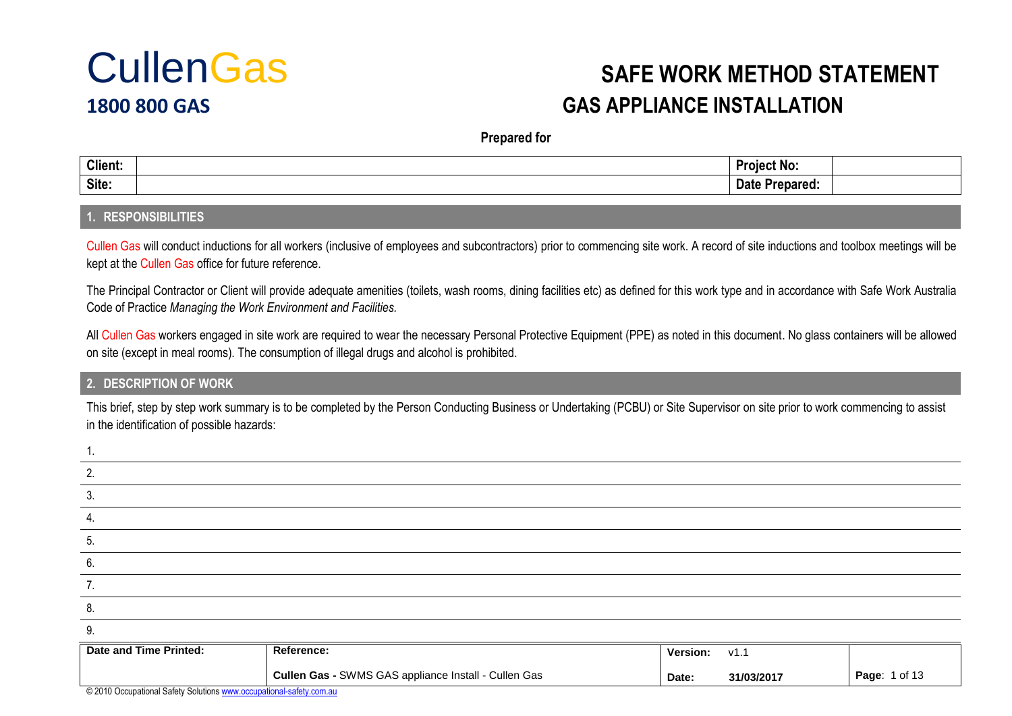

### $C$ ullenGas safe work Method Statement **1800 800 GAS GAS APPLIANCE INSTALLATION**

**Prepared for**

| <b>Client:</b> | N٨<br>$\ldots$ |  |
|----------------|----------------|--|
| Site:          |                |  |

#### **1. RESPONSIBILITIES**

Cullen Gas will conduct inductions for all workers (inclusive of employees and subcontractors) prior to commencing site work. A record of site inductions and toolbox meetings will be kept at the Cullen Gas office for future reference.

The Principal Contractor or Client will provide adequate amenities (toilets, wash rooms, dining facilities etc) as defined for this work type and in accordance with Safe Work Australia Code of Practice *Managing the Work Environment and Facilities.*

All Cullen Gas workers engaged in site work are required to wear the necessary Personal Protective Equipment (PPE) as noted in this document. No glass containers will be allowed on site (except in meal rooms). The consumption of illegal drugs and alcohol is prohibited.

#### **2. DESCRIPTION OF WORK**

This brief, step by step work summary is to be completed by the Person Conducting Business or Undertaking (PCBU) or Site Supervisor on site prior to work commencing to assist in the identification of possible hazards:

| Date and Time Printed: | Reference: |  | Version: v1.1 |  |
|------------------------|------------|--|---------------|--|
| 9.                     |            |  |               |  |
| 8.                     |            |  |               |  |
|                        |            |  |               |  |
| 6.                     |            |  |               |  |
| b.                     |            |  |               |  |
|                        |            |  |               |  |
|                        |            |  |               |  |
|                        |            |  |               |  |
|                        |            |  |               |  |

| Date and Time Printed: | Reference:                                                  | Version: | V1. .     |                              |
|------------------------|-------------------------------------------------------------|----------|-----------|------------------------------|
|                        | <b>Cullen Gas - SWMS GAS appliance Install - Cullen Gas</b> | Date:    | 31/03/201 | <b>Page: 1 of 13</b><br>- 10 |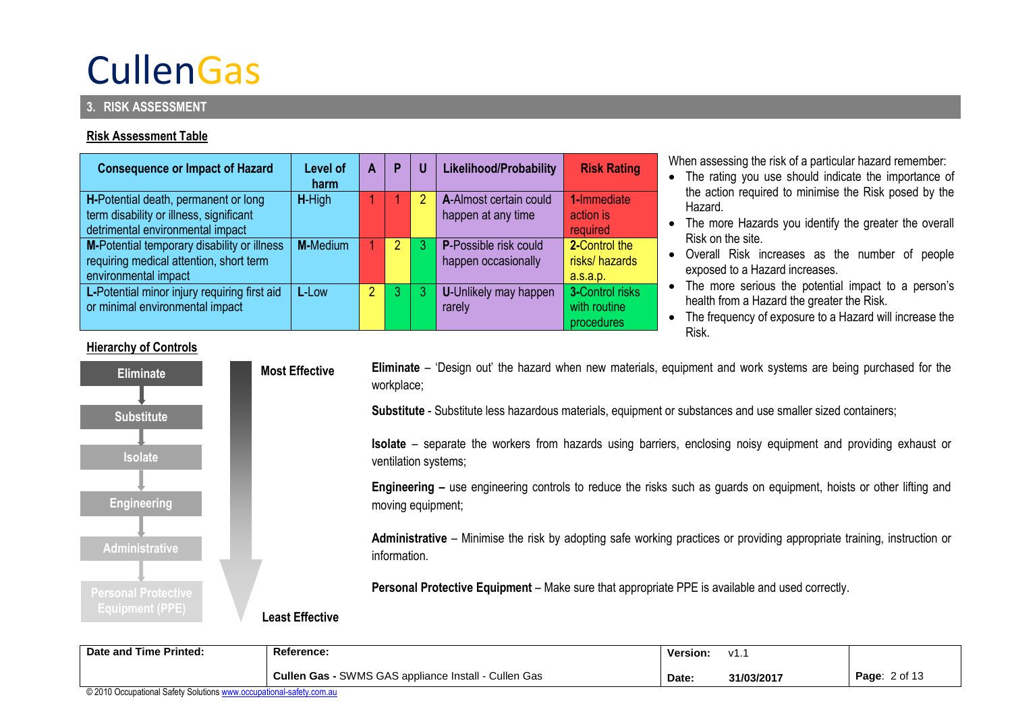#### **3. RISK ASSESSMENT**

#### **Risk Assessment Table**

| <b>Consequence or Impact of Hazard</b>       | Level of<br>harm | A | P              | U | Likelihood/Probability       | <b>Risk Rating</b>     |
|----------------------------------------------|------------------|---|----------------|---|------------------------------|------------------------|
| H-Potential death, permanent or long         | H-High           |   |                | 2 | A-Almost certain could       | 1-Immediate            |
| term disability or illness, significant      |                  |   |                |   | happen at any time           | action is              |
| detrimental environmental impact             |                  |   |                |   |                              | required               |
| M-Potential temporary disability or illness  | <b>M-Medium</b>  |   | $\overline{2}$ |   | <b>P-Possible risk could</b> | 2-Control the          |
| requiring medical attention, short term      |                  |   |                |   | happen occasionally          | risks/hazards          |
| environmental impact                         |                  |   |                |   |                              | a.s.a.p.               |
| L-Potential minor injury requiring first aid | L-Low            | 2 | 3              |   | <b>U-Unlikely may happen</b> | <b>3-Control risks</b> |
| or minimal environmental impact              |                  |   |                |   | rarely                       | with routine           |
|                                              |                  |   |                |   |                              | procedures             |

When assessing the risk of a particular hazard remember:

- The rating you use should indicate the importance of the action required to minimise the Risk posed by the **Hazard**
- The more Hazards you identify the greater the overall Risk on the site.
- Overall Risk increases as the number of people exposed to a Hazard increases.
- The more serious the potential impact to a person's health from a Hazard the greater the Risk.
- The frequency of exposure to a Hazard will increase the Risk.

### **Hierarchy of Controls Eliminate** – 'Design out' the hazard when new materials, equipment and work systems are being purchased for the workplace; **Substitute** - Substitute less hazardous materials, equipment or substances and use smaller sized containers; **Isolate** – separate the workers from hazards using barriers, enclosing noisy equipment and providing exhaust or ventilation systems; **Engineering –** use engineering controls to reduce the risks such as guards on equipment, hoists or other lifting and moving equipment; **Administrative** – Minimise the risk by adopting safe working practices or providing appropriate training, instruction or information. **Personal Protective Equipment** – Make sure that appropriate PPE is available and used correctly. **Least Effective Most Effective Personal Protective Eliminate Isolate Administrative Substitute Engineering**

| Date and Time Printed: | Reference:                                                  | Version: | V1.       |                  |
|------------------------|-------------------------------------------------------------|----------|-----------|------------------|
|                        | <b>Cullen Gas - SWMS GAS appliance Install - Cullen Gas</b> | Date.    | 31/03/201 | 2 of 13<br>Page: |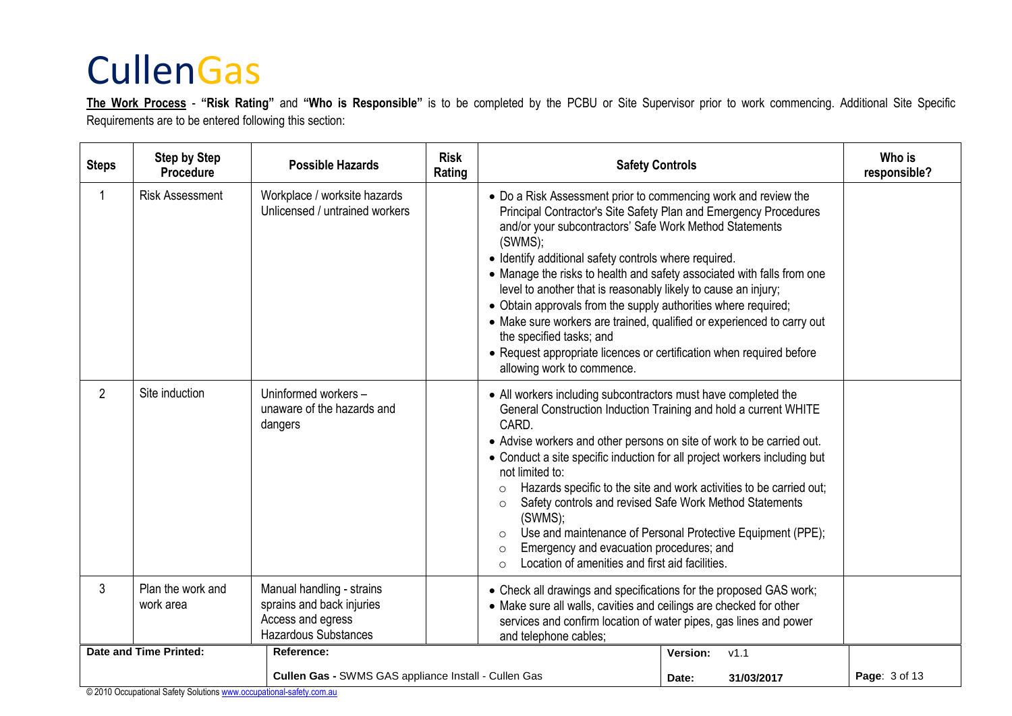**The Work Process** - **"Risk Rating"** and **"Who is Responsible"** is to be completed by the PCBU or Site Supervisor prior to work commencing. Additional Site Specific Requirements are to be entered following this section:

| <b>Steps</b>   | <b>Step by Step</b><br>Procedure | <b>Possible Hazards</b>                                                                                    | <b>Risk</b><br>Rating |                                                                                                                                                                                                                                                                                                                                                                                                                                                                                                                                                                                                                                                                                             | <b>Safety Controls</b> |               |  |  |  |  |
|----------------|----------------------------------|------------------------------------------------------------------------------------------------------------|-----------------------|---------------------------------------------------------------------------------------------------------------------------------------------------------------------------------------------------------------------------------------------------------------------------------------------------------------------------------------------------------------------------------------------------------------------------------------------------------------------------------------------------------------------------------------------------------------------------------------------------------------------------------------------------------------------------------------------|------------------------|---------------|--|--|--|--|
|                | <b>Risk Assessment</b>           | Workplace / worksite hazards<br>Unlicensed / untrained workers                                             |                       | • Do a Risk Assessment prior to commencing work and review the<br>Principal Contractor's Site Safety Plan and Emergency Procedures<br>and/or your subcontractors' Safe Work Method Statements<br>(SWMS);<br>• Identify additional safety controls where required.<br>• Manage the risks to health and safety associated with falls from one<br>level to another that is reasonably likely to cause an injury;<br>• Obtain approvals from the supply authorities where required;<br>• Make sure workers are trained, qualified or experienced to carry out<br>the specified tasks; and<br>• Request appropriate licences or certification when required before<br>allowing work to commence. |                        |               |  |  |  |  |
| $\overline{2}$ | Site induction                   | Uninformed workers-<br>unaware of the hazards and<br>dangers                                               |                       | • All workers including subcontractors must have completed the<br>General Construction Induction Training and hold a current WHITE<br>CARD.<br>• Advise workers and other persons on site of work to be carried out.<br>• Conduct a site specific induction for all project workers including but<br>not limited to:<br>Hazards specific to the site and work activities to be carried out;<br>$\circ$<br>Safety controls and revised Safe Work Method Statements<br>$\circ$<br>(SWMS);<br>Use and maintenance of Personal Protective Equipment (PPE);<br>$\circ$<br>Emergency and evacuation procedures; and<br>$\circ$<br>Location of amenities and first aid facilities.<br>$\Omega$     |                        |               |  |  |  |  |
| 3              | Plan the work and<br>work area   | Manual handling - strains<br>sprains and back injuries<br>Access and egress<br><b>Hazardous Substances</b> |                       | • Check all drawings and specifications for the proposed GAS work;<br>• Make sure all walls, cavities and ceilings are checked for other<br>services and confirm location of water pipes, gas lines and power<br>and telephone cables;                                                                                                                                                                                                                                                                                                                                                                                                                                                      |                        |               |  |  |  |  |
|                | <b>Date and Time Printed:</b>    | Reference:                                                                                                 |                       |                                                                                                                                                                                                                                                                                                                                                                                                                                                                                                                                                                                                                                                                                             | Version:<br>v1.1       |               |  |  |  |  |
|                |                                  | Cullen Gas - SWMS GAS appliance Install - Cullen Gas                                                       |                       |                                                                                                                                                                                                                                                                                                                                                                                                                                                                                                                                                                                                                                                                                             | 31/03/2017<br>Date:    | Page: 3 of 13 |  |  |  |  |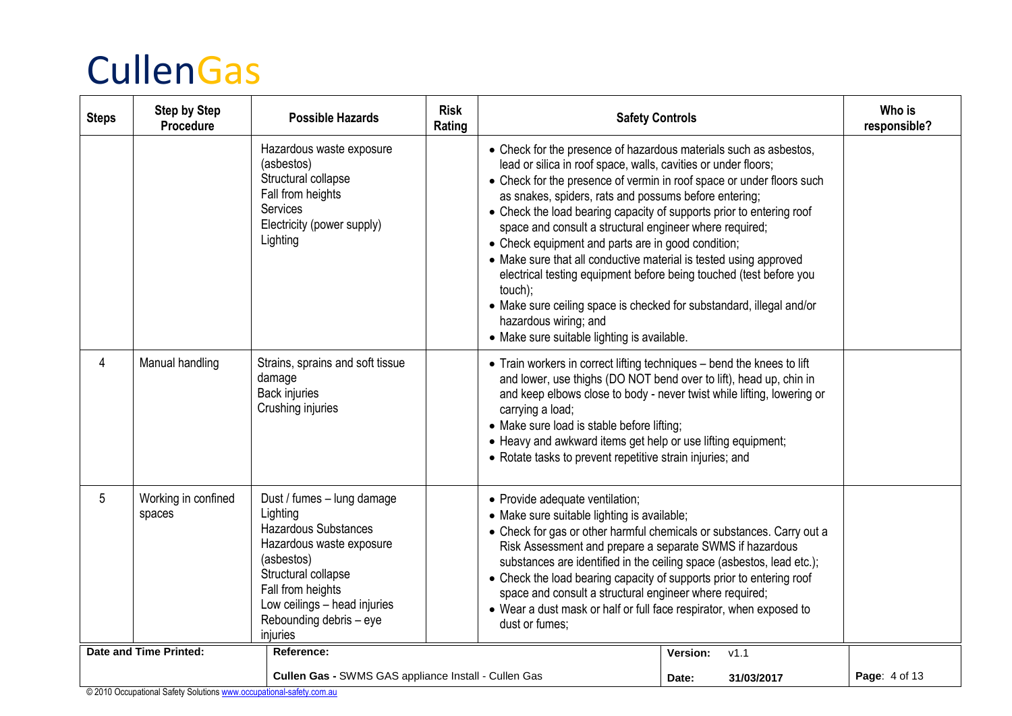| <b>Steps</b> | <b>Step by Step</b><br>Procedure | <b>Possible Hazards</b>                                                                                                                                                                                                     | <b>Risk</b><br>Rating | <b>Safety Controls</b>                                                                                                                                                                                                                                                                                                                                                                                                                                                                                                                                                                                                                                                                                                                                               |                 |            | Who is<br>responsible? |
|--------------|----------------------------------|-----------------------------------------------------------------------------------------------------------------------------------------------------------------------------------------------------------------------------|-----------------------|----------------------------------------------------------------------------------------------------------------------------------------------------------------------------------------------------------------------------------------------------------------------------------------------------------------------------------------------------------------------------------------------------------------------------------------------------------------------------------------------------------------------------------------------------------------------------------------------------------------------------------------------------------------------------------------------------------------------------------------------------------------------|-----------------|------------|------------------------|
|              |                                  | Hazardous waste exposure<br>(asbestos)<br>Structural collapse<br>Fall from heights<br>Services<br>Electricity (power supply)<br>Lighting                                                                                    |                       | • Check for the presence of hazardous materials such as asbestos,<br>lead or silica in roof space, walls, cavities or under floors;<br>• Check for the presence of vermin in roof space or under floors such<br>as snakes, spiders, rats and possums before entering;<br>• Check the load bearing capacity of supports prior to entering roof<br>space and consult a structural engineer where required;<br>• Check equipment and parts are in good condition;<br>• Make sure that all conductive material is tested using approved<br>electrical testing equipment before being touched (test before you<br>touch);<br>• Make sure ceiling space is checked for substandard, illegal and/or<br>hazardous wiring; and<br>• Make sure suitable lighting is available. |                 |            |                        |
| 4            | Manual handling                  | Strains, sprains and soft tissue<br>damage<br><b>Back injuries</b><br>Crushing injuries                                                                                                                                     |                       | • Train workers in correct lifting techniques – bend the knees to lift<br>and lower, use thighs (DO NOT bend over to lift), head up, chin in<br>and keep elbows close to body - never twist while lifting, lowering or<br>carrying a load;<br>• Make sure load is stable before lifting;<br>• Heavy and awkward items get help or use lifting equipment;<br>• Rotate tasks to prevent repetitive strain injuries; and                                                                                                                                                                                                                                                                                                                                                |                 |            |                        |
| 5            | Working in confined<br>spaces    | Dust / fumes - lung damage<br>Lighting<br>Hazardous Substances<br>Hazardous waste exposure<br>(asbestos)<br>Structural collapse<br>Fall from heights<br>Low ceilings - head injuries<br>Rebounding debris - eye<br>injuries |                       | • Provide adequate ventilation;<br>• Make sure suitable lighting is available;<br>• Check for gas or other harmful chemicals or substances. Carry out a<br>Risk Assessment and prepare a separate SWMS if hazardous<br>substances are identified in the ceiling space (asbestos, lead etc.);<br>• Check the load bearing capacity of supports prior to entering roof<br>space and consult a structural engineer where required;<br>• Wear a dust mask or half or full face respirator, when exposed to<br>dust or fumes;                                                                                                                                                                                                                                             |                 |            |                        |
|              | <b>Date and Time Printed:</b>    | Reference:                                                                                                                                                                                                                  |                       |                                                                                                                                                                                                                                                                                                                                                                                                                                                                                                                                                                                                                                                                                                                                                                      | <b>Version:</b> | V1.1       |                        |
|              |                                  | Cullen Gas - SWMS GAS appliance Install - Cullen Gas                                                                                                                                                                        |                       |                                                                                                                                                                                                                                                                                                                                                                                                                                                                                                                                                                                                                                                                                                                                                                      | Date:           | 31/03/2017 | Page: 4 of 13          |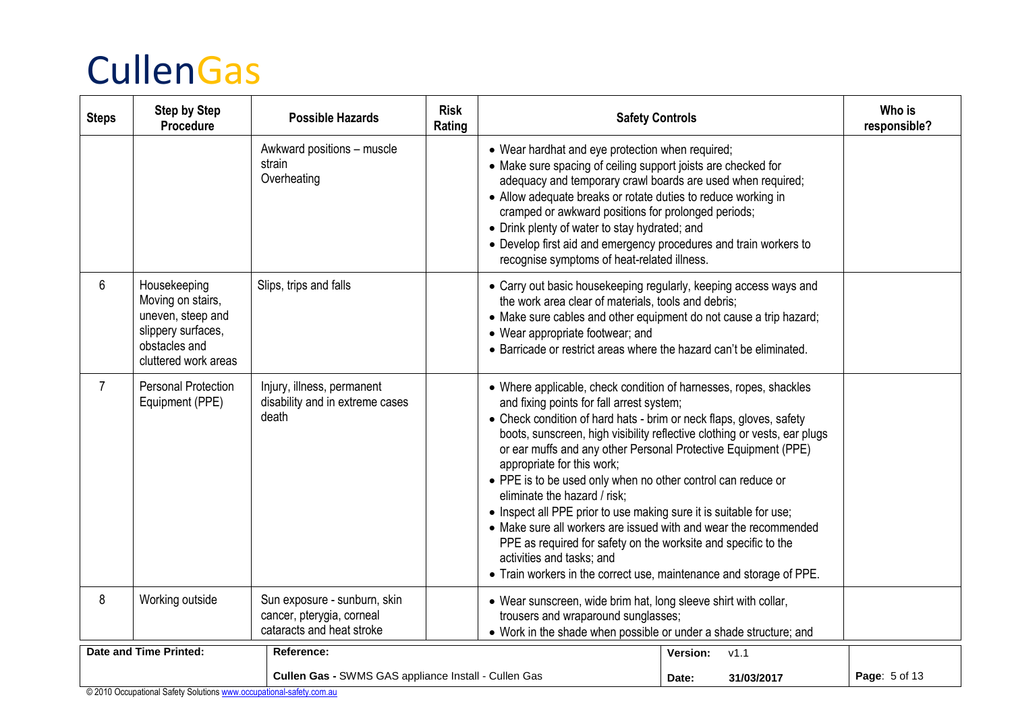| <b>Steps</b>   | <b>Step by Step</b><br>Procedure                                                                                      | <b>Possible Hazards</b>                                                                | <b>Risk</b><br>Rating | <b>Safety Controls</b>                                                                                                                                                                                                                                                                                                                                                                                                                                                                                                                                                                                                                                                                                                                                                             |                     | Who is<br>responsible? |
|----------------|-----------------------------------------------------------------------------------------------------------------------|----------------------------------------------------------------------------------------|-----------------------|------------------------------------------------------------------------------------------------------------------------------------------------------------------------------------------------------------------------------------------------------------------------------------------------------------------------------------------------------------------------------------------------------------------------------------------------------------------------------------------------------------------------------------------------------------------------------------------------------------------------------------------------------------------------------------------------------------------------------------------------------------------------------------|---------------------|------------------------|
|                |                                                                                                                       | Awkward positions - muscle<br>strain<br>Overheating                                    |                       | • Wear hardhat and eye protection when required;<br>• Make sure spacing of ceiling support joists are checked for<br>adequacy and temporary crawl boards are used when required;<br>• Allow adequate breaks or rotate duties to reduce working in<br>cramped or awkward positions for prolonged periods;<br>• Drink plenty of water to stay hydrated; and<br>• Develop first aid and emergency procedures and train workers to<br>recognise symptoms of heat-related illness.                                                                                                                                                                                                                                                                                                      |                     |                        |
| 6              | Housekeeping<br>Moving on stairs,<br>uneven, steep and<br>slippery surfaces,<br>obstacles and<br>cluttered work areas | Slips, trips and falls                                                                 |                       | • Carry out basic housekeeping regularly, keeping access ways and<br>the work area clear of materials, tools and debris;<br>• Make sure cables and other equipment do not cause a trip hazard;<br>• Wear appropriate footwear; and<br>• Barricade or restrict areas where the hazard can't be eliminated.                                                                                                                                                                                                                                                                                                                                                                                                                                                                          |                     |                        |
| $\overline{7}$ | <b>Personal Protection</b><br>Equipment (PPE)                                                                         | Injury, illness, permanent<br>disability and in extreme cases<br>death                 |                       | • Where applicable, check condition of harnesses, ropes, shackles<br>and fixing points for fall arrest system;<br>• Check condition of hard hats - brim or neck flaps, gloves, safety<br>boots, sunscreen, high visibility reflective clothing or vests, ear plugs<br>or ear muffs and any other Personal Protective Equipment (PPE)<br>appropriate for this work;<br>• PPE is to be used only when no other control can reduce or<br>eliminate the hazard / risk;<br>• Inspect all PPE prior to use making sure it is suitable for use;<br>• Make sure all workers are issued with and wear the recommended<br>PPE as required for safety on the worksite and specific to the<br>activities and tasks; and<br>• Train workers in the correct use, maintenance and storage of PPE. |                     |                        |
| 8              | Working outside                                                                                                       | Sun exposure - sunburn, skin<br>cancer, pterygia, corneal<br>cataracts and heat stroke |                       | • Wear sunscreen, wide brim hat, long sleeve shirt with collar,<br>trousers and wraparound sunglasses;<br>• Work in the shade when possible or under a shade structure; and                                                                                                                                                                                                                                                                                                                                                                                                                                                                                                                                                                                                        |                     |                        |
|                | Date and Time Printed:                                                                                                | Reference:                                                                             |                       |                                                                                                                                                                                                                                                                                                                                                                                                                                                                                                                                                                                                                                                                                                                                                                                    | v1.1<br>Version:    |                        |
|                |                                                                                                                       | Cullen Gas - SWMS GAS appliance Install - Cullen Gas                                   |                       |                                                                                                                                                                                                                                                                                                                                                                                                                                                                                                                                                                                                                                                                                                                                                                                    | 31/03/2017<br>Date: | Page: 5 of 13          |

© 2010 Occupational Safety Solution[s www.occupational-safety.com.au](http://www.occupational-safety.com.au/)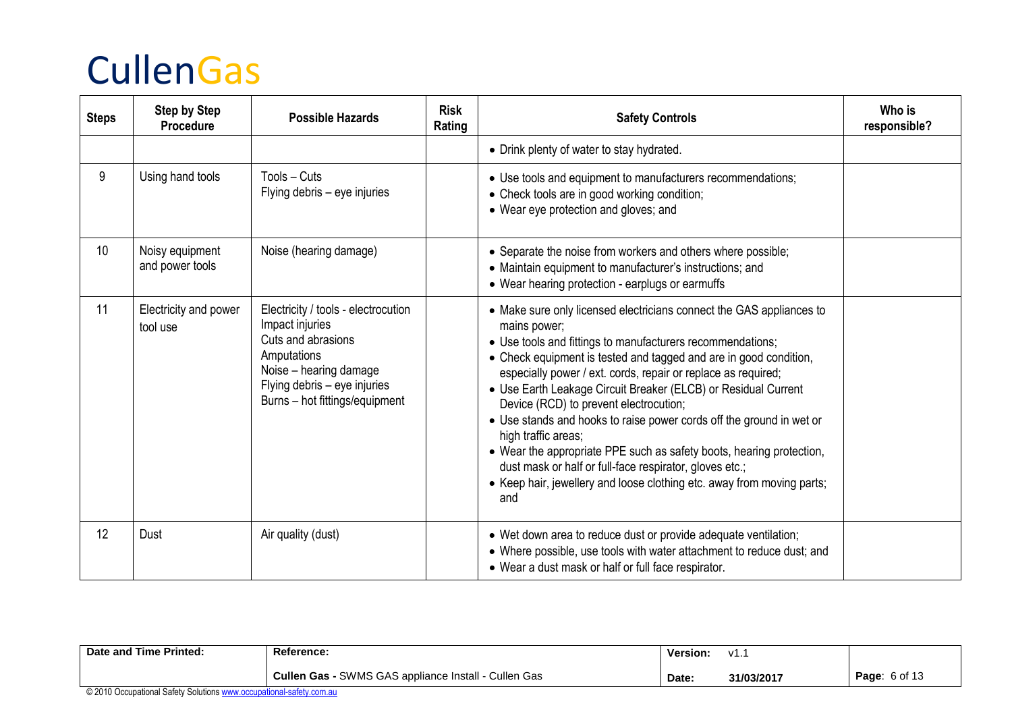| <b>Steps</b> | <b>Step by Step</b><br>Procedure   | <b>Possible Hazards</b>                                                                                                                                                                 | <b>Risk</b><br>Rating | <b>Safety Controls</b>                                                                                                                                                                                                                                                                                                                                                                                                                                                                                                                                                                                                                                                                                                  | Who is<br>responsible? |
|--------------|------------------------------------|-----------------------------------------------------------------------------------------------------------------------------------------------------------------------------------------|-----------------------|-------------------------------------------------------------------------------------------------------------------------------------------------------------------------------------------------------------------------------------------------------------------------------------------------------------------------------------------------------------------------------------------------------------------------------------------------------------------------------------------------------------------------------------------------------------------------------------------------------------------------------------------------------------------------------------------------------------------------|------------------------|
|              |                                    |                                                                                                                                                                                         |                       | • Drink plenty of water to stay hydrated.                                                                                                                                                                                                                                                                                                                                                                                                                                                                                                                                                                                                                                                                               |                        |
| 9            | Using hand tools                   | Tools - Cuts<br>Flying debris – eye injuries                                                                                                                                            |                       | • Use tools and equipment to manufacturers recommendations;<br>• Check tools are in good working condition;<br>• Wear eye protection and gloves; and                                                                                                                                                                                                                                                                                                                                                                                                                                                                                                                                                                    |                        |
| 10           | Noisy equipment<br>and power tools | Noise (hearing damage)                                                                                                                                                                  |                       | • Separate the noise from workers and others where possible;<br>• Maintain equipment to manufacturer's instructions; and<br>• Wear hearing protection - earplugs or earmuffs                                                                                                                                                                                                                                                                                                                                                                                                                                                                                                                                            |                        |
| 11           | Electricity and power<br>tool use  | Electricity / tools - electrocution<br>Impact injuries<br>Cuts and abrasions<br>Amputations<br>Noise - hearing damage<br>Flying debris - eye injuries<br>Burns – hot fittings/equipment |                       | • Make sure only licensed electricians connect the GAS appliances to<br>mains power;<br>• Use tools and fittings to manufacturers recommendations;<br>• Check equipment is tested and tagged and are in good condition,<br>especially power / ext. cords, repair or replace as required;<br>• Use Earth Leakage Circuit Breaker (ELCB) or Residual Current<br>Device (RCD) to prevent electrocution;<br>• Use stands and hooks to raise power cords off the ground in wet or<br>high traffic areas;<br>• Wear the appropriate PPE such as safety boots, hearing protection,<br>dust mask or half or full-face respirator, gloves etc.;<br>• Keep hair, jewellery and loose clothing etc. away from moving parts;<br>and |                        |
| 12           | Dust                               | Air quality (dust)                                                                                                                                                                      |                       | • Wet down area to reduce dust or provide adequate ventilation;<br>• Where possible, use tools with water attachment to reduce dust; and<br>• Wear a dust mask or half or full face respirator.                                                                                                                                                                                                                                                                                                                                                                                                                                                                                                                         |                        |

| Date and Time Printed:                                                | Reference:                                           | <b>Version:</b> | V1. .      |                      |
|-----------------------------------------------------------------------|------------------------------------------------------|-----------------|------------|----------------------|
|                                                                       | Cullen Gas - SWMS GAS appliance Install - Cullen Gas | Date:           | 31/03/2017 | <b>Page: 6 of 13</b> |
| @2010 Occupational Cafety Calutiano ususu acquisational cafety com ou |                                                      |                 |            |                      |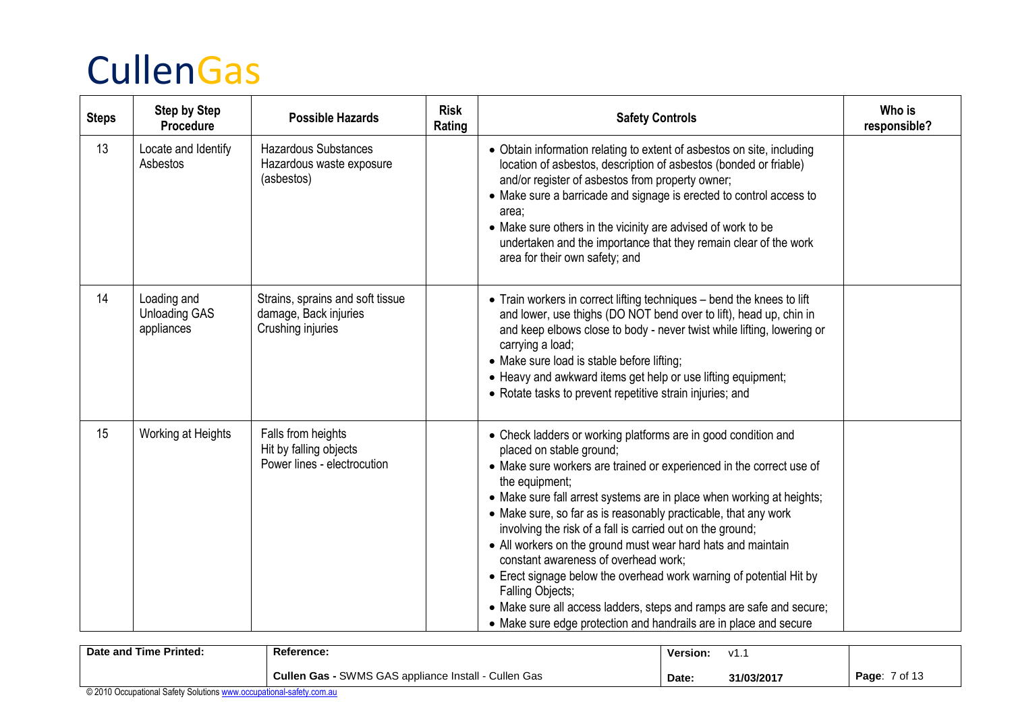| <b>Steps</b> | <b>Step by Step</b><br>Procedure                  | <b>Possible Hazards</b>                                                        | <b>Risk</b><br>Rating | <b>Safety Controls</b>                                                                                                                                                                                                                                                                                                                                                                                                                                                                                                                                                                                                                                                                                                                         | Who is<br>responsible? |
|--------------|---------------------------------------------------|--------------------------------------------------------------------------------|-----------------------|------------------------------------------------------------------------------------------------------------------------------------------------------------------------------------------------------------------------------------------------------------------------------------------------------------------------------------------------------------------------------------------------------------------------------------------------------------------------------------------------------------------------------------------------------------------------------------------------------------------------------------------------------------------------------------------------------------------------------------------------|------------------------|
| 13           | Locate and Identify<br>Asbestos                   | <b>Hazardous Substances</b><br>Hazardous waste exposure<br>(asbestos)          |                       | • Obtain information relating to extent of asbestos on site, including<br>location of asbestos, description of asbestos (bonded or friable)<br>and/or register of asbestos from property owner;<br>• Make sure a barricade and signage is erected to control access to<br>area:<br>• Make sure others in the vicinity are advised of work to be<br>undertaken and the importance that they remain clear of the work<br>area for their own safety; and                                                                                                                                                                                                                                                                                          |                        |
| 14           | Loading and<br><b>Unloading GAS</b><br>appliances | Strains, sprains and soft tissue<br>damage, Back injuries<br>Crushing injuries |                       | • Train workers in correct lifting techniques - bend the knees to lift<br>and lower, use thighs (DO NOT bend over to lift), head up, chin in<br>and keep elbows close to body - never twist while lifting, lowering or<br>carrying a load;<br>• Make sure load is stable before lifting;<br>• Heavy and awkward items get help or use lifting equipment;<br>• Rotate tasks to prevent repetitive strain injuries; and                                                                                                                                                                                                                                                                                                                          |                        |
| 15           | Working at Heights                                | Falls from heights<br>Hit by falling objects<br>Power lines - electrocution    |                       | • Check ladders or working platforms are in good condition and<br>placed on stable ground;<br>• Make sure workers are trained or experienced in the correct use of<br>the equipment;<br>• Make sure fall arrest systems are in place when working at heights;<br>• Make sure, so far as is reasonably practicable, that any work<br>involving the risk of a fall is carried out on the ground;<br>• All workers on the ground must wear hard hats and maintain<br>constant awareness of overhead work;<br>• Erect signage below the overhead work warning of potential Hit by<br>Falling Objects;<br>• Make sure all access ladders, steps and ramps are safe and secure;<br>• Make sure edge protection and handrails are in place and secure |                        |

| Date and Time Printed: | Reference:                                                | Version: | V1.        |                  |
|------------------------|-----------------------------------------------------------|----------|------------|------------------|
|                        | - SWMS GAS appliance Install - Cullen Gas<br>Cullen Gas - | Date.    | 31/03/2017 | ' of 13<br>Page: |
|                        |                                                           |          |            |                  |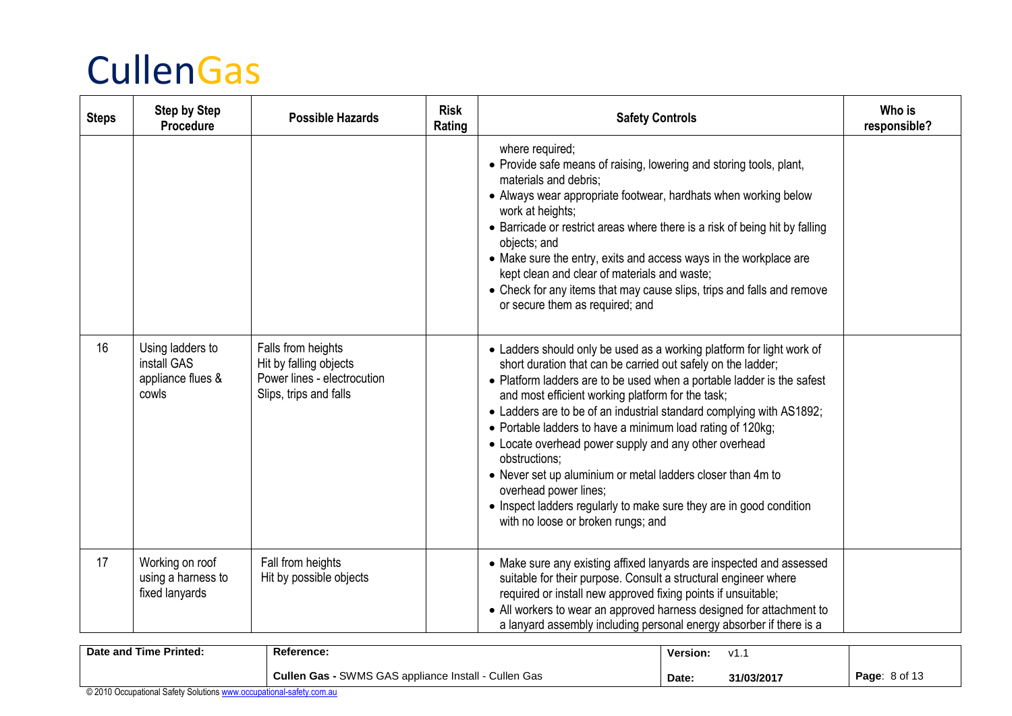| <b>Steps</b> | <b>Step by Step</b><br>Procedure                              | <b>Possible Hazards</b>                                                                               | <b>Risk</b><br>Rating | <b>Safety Controls</b>                                                                                                                                                                                                                                                                                                                                                                                                                                                                                                                                                                                                                                                                    | Who is<br>responsible? |
|--------------|---------------------------------------------------------------|-------------------------------------------------------------------------------------------------------|-----------------------|-------------------------------------------------------------------------------------------------------------------------------------------------------------------------------------------------------------------------------------------------------------------------------------------------------------------------------------------------------------------------------------------------------------------------------------------------------------------------------------------------------------------------------------------------------------------------------------------------------------------------------------------------------------------------------------------|------------------------|
|              |                                                               |                                                                                                       |                       | where required;<br>• Provide safe means of raising, lowering and storing tools, plant,<br>materials and debris;<br>• Always wear appropriate footwear, hardhats when working below<br>work at heights;<br>• Barricade or restrict areas where there is a risk of being hit by falling<br>objects; and<br>• Make sure the entry, exits and access ways in the workplace are<br>kept clean and clear of materials and waste;<br>• Check for any items that may cause slips, trips and falls and remove<br>or secure them as required; and                                                                                                                                                   |                        |
| 16           | Using ladders to<br>install GAS<br>appliance flues &<br>cowls | Falls from heights<br>Hit by falling objects<br>Power lines - electrocution<br>Slips, trips and falls |                       | • Ladders should only be used as a working platform for light work of<br>short duration that can be carried out safely on the ladder;<br>• Platform ladders are to be used when a portable ladder is the safest<br>and most efficient working platform for the task;<br>• Ladders are to be of an industrial standard complying with AS1892;<br>• Portable ladders to have a minimum load rating of 120kg;<br>• Locate overhead power supply and any other overhead<br>obstructions;<br>• Never set up aluminium or metal ladders closer than 4m to<br>overhead power lines;<br>• Inspect ladders regularly to make sure they are in good condition<br>with no loose or broken rungs; and |                        |
| 17           | Working on roof<br>using a harness to<br>fixed lanyards       | Fall from heights<br>Hit by possible objects                                                          |                       | • Make sure any existing affixed lanyards are inspected and assessed<br>suitable for their purpose. Consult a structural engineer where<br>required or install new approved fixing points if unsuitable;<br>• All workers to wear an approved harness designed for attachment to<br>a lanyard assembly including personal energy absorber if there is a                                                                                                                                                                                                                                                                                                                                   |                        |

| Date and Time Printed:         | <b>Reference:</b>                                             | Version: | $\cdot$<br><b>v</b> |                      |
|--------------------------------|---------------------------------------------------------------|----------|---------------------|----------------------|
|                                | SWMS GAS appliance Install<br>Cullen Gas<br><b>Cullen Gas</b> | Date:    | 31/03/2017          | <b>Page: 8 of 13</b> |
| 0.00100<br>$1 - 1 - 1 - 1 - 1$ |                                                               |          |                     |                      |

© 2010 Occupational Safety Solution[s www.occupational-safety.com.au](http://www.occupational-safety.com.au/)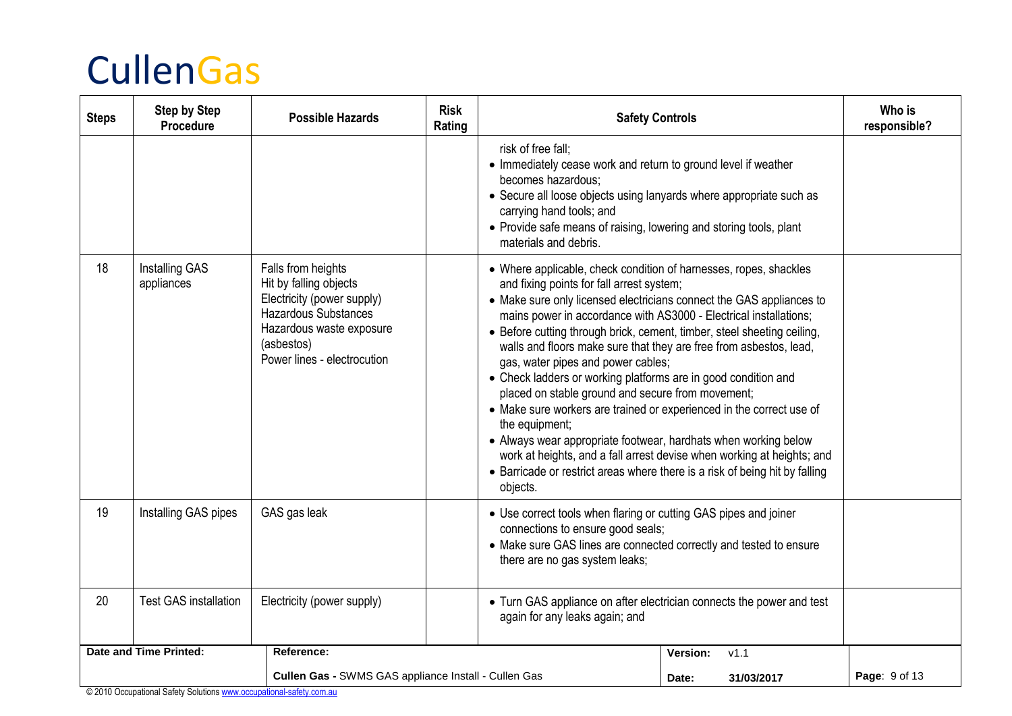| <b>Steps</b>                                         | <b>Step by Step</b><br>Procedure | <b>Possible Hazards</b>                                                                                                                                                            | <b>Risk</b><br>Rating | <b>Safety Controls</b>                                                                                                                                                                                                                                                                                                                                                                                                                                                                                                                                                                                                                                                                                                                                                                                                            |                                                                        | Who is<br>responsible? |
|------------------------------------------------------|----------------------------------|------------------------------------------------------------------------------------------------------------------------------------------------------------------------------------|-----------------------|-----------------------------------------------------------------------------------------------------------------------------------------------------------------------------------------------------------------------------------------------------------------------------------------------------------------------------------------------------------------------------------------------------------------------------------------------------------------------------------------------------------------------------------------------------------------------------------------------------------------------------------------------------------------------------------------------------------------------------------------------------------------------------------------------------------------------------------|------------------------------------------------------------------------|------------------------|
|                                                      |                                  |                                                                                                                                                                                    |                       | risk of free fall;<br>• Immediately cease work and return to ground level if weather<br>becomes hazardous:<br>• Secure all loose objects using lanyards where appropriate such as<br>carrying hand tools; and<br>• Provide safe means of raising, lowering and storing tools, plant<br>materials and debris.                                                                                                                                                                                                                                                                                                                                                                                                                                                                                                                      |                                                                        |                        |
| 18                                                   | Installing GAS<br>appliances     | Falls from heights<br>Hit by falling objects<br>Electricity (power supply)<br><b>Hazardous Substances</b><br>Hazardous waste exposure<br>(asbestos)<br>Power lines - electrocution |                       | • Where applicable, check condition of harnesses, ropes, shackles<br>and fixing points for fall arrest system;<br>• Make sure only licensed electricians connect the GAS appliances to<br>mains power in accordance with AS3000 - Electrical installations;<br>• Before cutting through brick, cement, timber, steel sheeting ceiling,<br>walls and floors make sure that they are free from asbestos, lead,<br>gas, water pipes and power cables;<br>• Check ladders or working platforms are in good condition and<br>placed on stable ground and secure from movement;<br>• Make sure workers are trained or experienced in the correct use of<br>the equipment;<br>• Always wear appropriate footwear, hardhats when working below<br>• Barricade or restrict areas where there is a risk of being hit by falling<br>objects. | work at heights, and a fall arrest devise when working at heights; and |                        |
| 19                                                   | Installing GAS pipes             | GAS gas leak                                                                                                                                                                       |                       | • Use correct tools when flaring or cutting GAS pipes and joiner<br>connections to ensure good seals;<br>• Make sure GAS lines are connected correctly and tested to ensure<br>there are no gas system leaks;                                                                                                                                                                                                                                                                                                                                                                                                                                                                                                                                                                                                                     |                                                                        |                        |
| 20                                                   | <b>Test GAS installation</b>     | Electricity (power supply)                                                                                                                                                         |                       | • Turn GAS appliance on after electrician connects the power and test<br>again for any leaks again; and                                                                                                                                                                                                                                                                                                                                                                                                                                                                                                                                                                                                                                                                                                                           |                                                                        |                        |
|                                                      | <b>Date and Time Printed:</b>    | Reference:                                                                                                                                                                         |                       |                                                                                                                                                                                                                                                                                                                                                                                                                                                                                                                                                                                                                                                                                                                                                                                                                                   | V1.1<br>Version:                                                       |                        |
| Cullen Gas - SWMS GAS appliance Install - Cullen Gas |                                  |                                                                                                                                                                                    |                       |                                                                                                                                                                                                                                                                                                                                                                                                                                                                                                                                                                                                                                                                                                                                                                                                                                   | Date:<br>31/03/2017                                                    | Page: 9 of 13          |

© 2010 Occupational Safety Solution[s www.occupational-safety.com.au](http://www.occupational-safety.com.au/)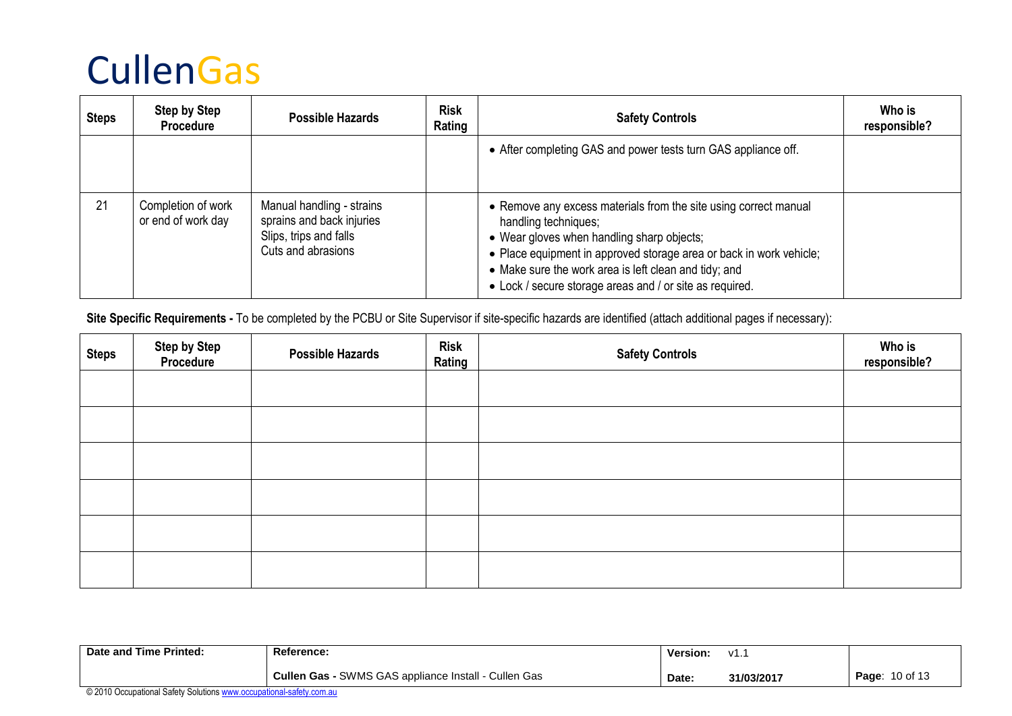| <b>Steps</b> | <b>Step by Step</b><br><b>Procedure</b>  | <b>Possible Hazards</b>                                                                                | <b>Risk</b><br>Rating | <b>Safety Controls</b>                                                                                                                                                                                                                                                                                                             | Who is<br>responsible? |
|--------------|------------------------------------------|--------------------------------------------------------------------------------------------------------|-----------------------|------------------------------------------------------------------------------------------------------------------------------------------------------------------------------------------------------------------------------------------------------------------------------------------------------------------------------------|------------------------|
|              |                                          |                                                                                                        |                       | • After completing GAS and power tests turn GAS appliance off.                                                                                                                                                                                                                                                                     |                        |
| 21           | Completion of work<br>or end of work day | Manual handling - strains<br>sprains and back injuries<br>Slips, trips and falls<br>Cuts and abrasions |                       | • Remove any excess materials from the site using correct manual<br>handling techniques;<br>• Wear gloves when handling sharp objects;<br>• Place equipment in approved storage area or back in work vehicle;<br>• Make sure the work area is left clean and tidy; and<br>• Lock / secure storage areas and / or site as required. |                        |

Site Specific Requirements - To be completed by the PCBU or Site Supervisor if site-specific hazards are identified (attach additional pages if necessary):

| <b>Steps</b> | <b>Step by Step<br/>Procedure</b> | <b>Possible Hazards</b> | <b>Risk</b><br>Rating | <b>Safety Controls</b> | Who is<br>responsible? |
|--------------|-----------------------------------|-------------------------|-----------------------|------------------------|------------------------|
|              |                                   |                         |                       |                        |                        |
|              |                                   |                         |                       |                        |                        |
|              |                                   |                         |                       |                        |                        |
|              |                                   |                         |                       |                        |                        |
|              |                                   |                         |                       |                        |                        |
|              |                                   |                         |                       |                        |                        |

| Date and Time Printed: | <b>Reference:</b>                                           | Version: | 1/1<br><b>v</b> |                       |
|------------------------|-------------------------------------------------------------|----------|-----------------|-----------------------|
|                        | <b>Cullen Gas - SWMS GAS appliance Install - Cullen Gas</b> | Date     | 31/03/2017      | <b>Page: 10 of 13</b> |
|                        |                                                             |          |                 |                       |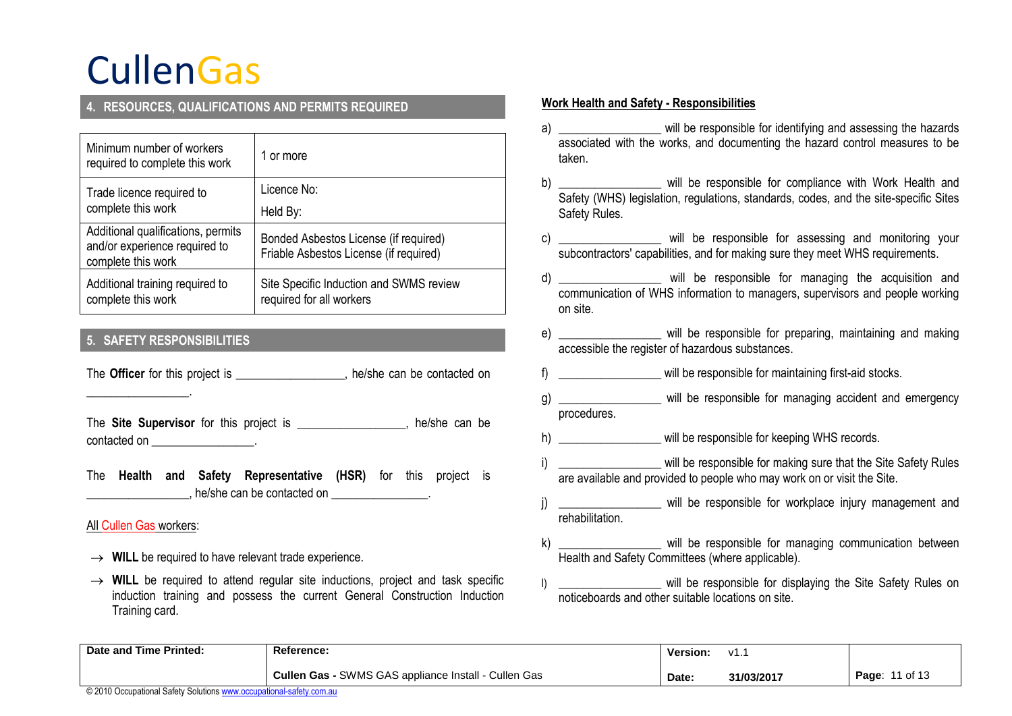### **4. RESOURCES, QUALIFICATIONS AND PERMITS REQUIRED**

| Minimum number of workers<br>required to complete this work                               | 1 or more                                                                       |
|-------------------------------------------------------------------------------------------|---------------------------------------------------------------------------------|
| Trade licence required to                                                                 | Licence No:                                                                     |
| complete this work                                                                        | Held By:                                                                        |
| Additional qualifications, permits<br>and/or experience required to<br>complete this work | Bonded Asbestos License (if required)<br>Friable Asbestos License (if required) |
| Additional training required to<br>complete this work                                     | Site Specific Induction and SWMS review<br>required for all workers             |

### **5. SAFETY RESPONSIBILITIES**

The **Officer** for this project is \_\_\_\_\_\_\_\_\_\_\_\_\_\_\_, he/she can be contacted on

The **Site Supervisor** for this project is **The Site Can be** contacted on **contacted** on

The **Health and Safety Representative (HSR)** for this project is . he/she can be contacted on \_\_\_\_\_\_\_\_\_\_\_\_\_\_\_\_.

#### All Cullen Gas workers:

\_\_\_\_\_\_\_\_\_\_\_\_\_\_\_\_\_.

- $\rightarrow$  WILL be required to have relevant trade experience.
- $\rightarrow$  WILL be required to attend regular site inductions, project and task specific induction training and possess the current General Construction Induction Training card.

#### **Work Health and Safety - Responsibilities**

- a) \_\_\_\_\_\_\_\_\_\_\_\_\_\_\_\_\_ will be responsible for identifying and assessing the hazards associated with the works, and documenting the hazard control measures to be taken.
- b) will be responsible for compliance with Work Health and Safety (WHS) legislation, regulations, standards, codes, and the site-specific Sites Safety Rules.
- c) will be responsible for assessing and monitoring your subcontractors' capabilities, and for making sure they meet WHS requirements.
- d) \_\_\_\_\_\_\_\_\_\_\_\_\_\_\_\_\_ will be responsible for managing the acquisition and communication of WHS information to managers, supervisors and people working on site.
- e) \_\_\_\_\_\_\_\_\_\_\_\_\_\_\_\_\_ will be responsible for preparing, maintaining and making accessible the register of hazardous substances.
- f) \_\_\_\_\_\_\_\_\_\_\_\_\_\_\_\_\_ will be responsible for maintaining first-aid stocks.
- g) will be responsible for managing accident and emergency procedures.
- h) will be responsible for keeping WHS records.
- i) will be responsible for making sure that the Site Safety Rules are available and provided to people who may work on or visit the Site.
- j) \_\_\_\_\_\_\_\_\_\_\_\_\_\_\_\_\_\_ will be responsible for workplace injury management and rehabilitation.
- k) \_\_\_\_\_\_\_\_\_\_\_\_\_\_\_\_\_ will be responsible for managing communication between Health and Safety Committees (where applicable).
- I) \_\_\_\_\_\_\_\_\_\_\_\_\_\_\_\_\_\_\_ will be responsible for displaying the Site Safety Rules on noticeboards and other suitable locations on site.

| Date and Time Printed: | <b>Reference:</b>                                              |       | v1. .      |                   |
|------------------------|----------------------------------------------------------------|-------|------------|-------------------|
| .                      | <b>Cullen Gas - SWMS GAS appliance Install</b><br>- Cullen Gas | Date: | 31/03/2017 | 11 of 13<br>Page: |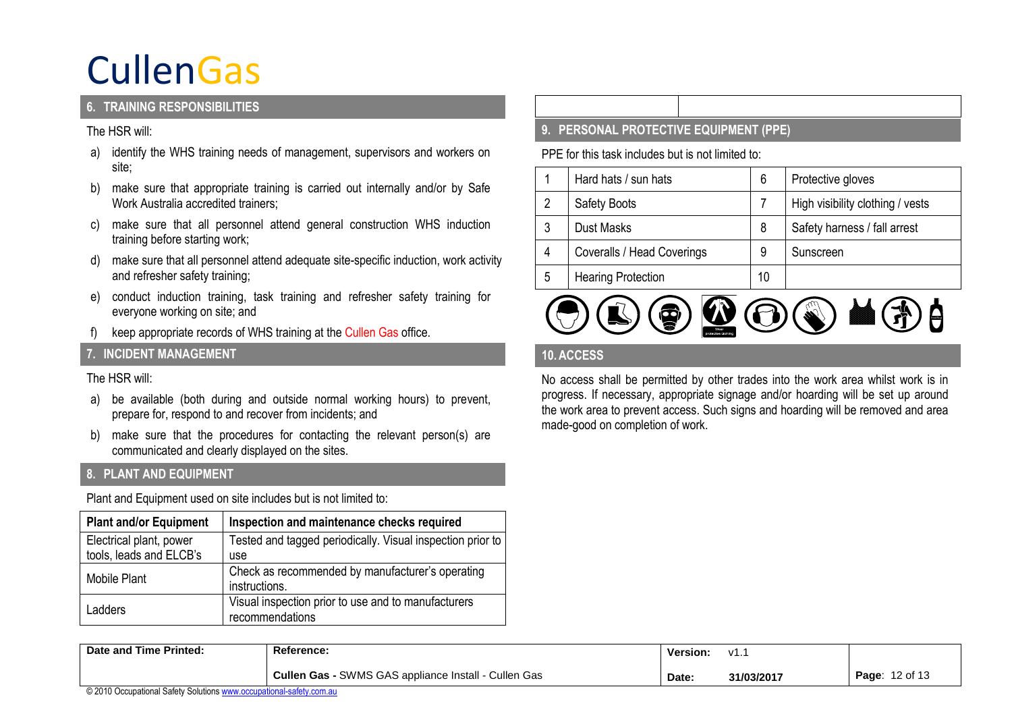### **6. TRAINING RESPONSIBILITIES**

#### The HSR will:

- a) identify the WHS training needs of management, supervisors and workers on site;
- b) make sure that appropriate training is carried out internally and/or by Safe Work Australia accredited trainers;
- c) make sure that all personnel attend general construction WHS induction training before starting work;
- d) make sure that all personnel attend adequate site-specific induction, work activity and refresher safety training;
- e) conduct induction training, task training and refresher safety training for everyone working on site; and
- f) keep appropriate records of WHS training at the Cullen Gas office.

### **7. INCIDENT MANAGEMENT**

### The HSR will:

- a) be available (both during and outside normal working hours) to prevent, prepare for, respond to and recover from incidents; and
- b) make sure that the procedures for contacting the relevant person(s) are communicated and clearly displayed on the sites.

### **8. PLANT AND EQUIPMENT**

Plant and Equipment used on site includes but is not limited to:

| <b>Plant and/or Equipment</b>                      | Inspection and maintenance checks required                 |
|----------------------------------------------------|------------------------------------------------------------|
| Electrical plant, power<br>tools, leads and ELCB's | Tested and tagged periodically. Visual inspection prior to |
|                                                    | use                                                        |
| Mobile Plant                                       | Check as recommended by manufacturer's operating           |
|                                                    | instructions.                                              |
| Ladders                                            | Visual inspection prior to use and to manufacturers        |
|                                                    | recommendations                                            |

### **9. PERSONAL PROTECTIVE EQUIPMENT (PPE)**

PPE for this task includes but is not limited to:

|   | Hard hats / sun hats       | 6  | Protective gloves                |
|---|----------------------------|----|----------------------------------|
| 2 | <b>Safety Boots</b>        |    | High visibility clothing / vests |
| 3 | <b>Dust Masks</b>          | 8  | Safety harness / fall arrest     |
| 4 | Coveralls / Head Coverings | 9  | Sunscreen                        |
| 5 | <b>Hearing Protection</b>  | 10 |                                  |



### **10.ACCESS**

No access shall be permitted by other trades into the work area whilst work is in progress. If necessary, appropriate signage and/or hoarding will be set up around the work area to prevent access. Such signs and hoarding will be removed and area made-good on completion of work.

| Date and Time Printed: | <b>Reference:</b>                                     | <b>Version:</b> | , 11<br><b>v</b> |                   |
|------------------------|-------------------------------------------------------|-----------------|------------------|-------------------|
|                        | SWMS GAS appliance Install - Cullen Gas<br>Cullen Gas | Date:           | 31/03/2017       | 12 of 13<br>Page: |